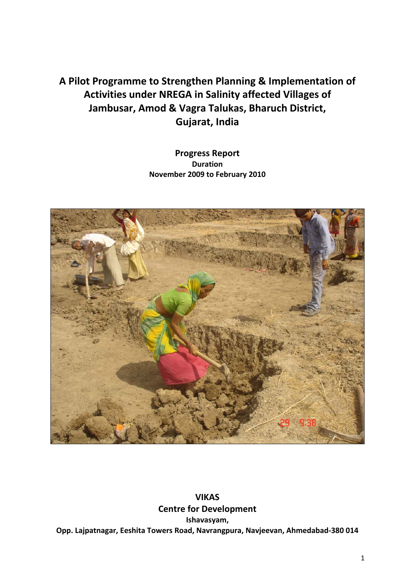# **A Pilot Programme to Strengthen Planning & Implementation of Activities under NREGA in Salinity affected Villages of Jambusar, Amod & Vagra Talukas, Bharuch District, Gujarat, India**

## **Progress Report Duration November 2009 to February 2010**



**VIKAS Centre for Development Ishavasyam, Opp. Lajpatnagar, Eeshita Towers Road, Navrangpura, Navjeevan, Ahmedabad‐380 014**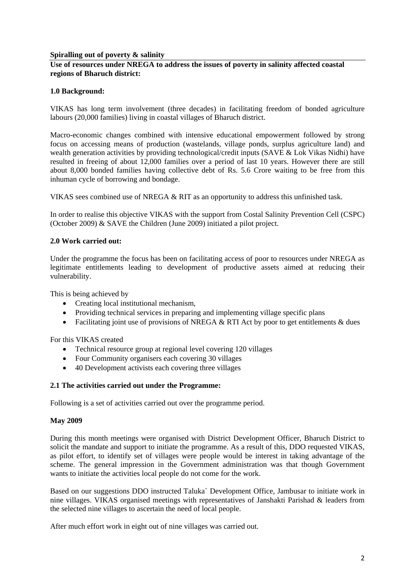## **Spiralling out of poverty & salinity**

## **Use of resources under NREGA to address the issues of poverty in salinity affected coastal regions of Bharuch district:**

## **1.0 Background:**

VIKAS has long term involvement (three decades) in facilitating freedom of bonded agriculture labours (20,000 families) living in coastal villages of Bharuch district.

Macro-economic changes combined with intensive educational empowerment followed by strong focus on accessing means of production (wastelands, village ponds, surplus agriculture land) and wealth generation activities by providing technological/credit inputs (SAVE & Lok Vikas Nidhi) have resulted in freeing of about 12,000 families over a period of last 10 years. However there are still about 8,000 bonded families having collective debt of Rs. 5.6 Crore waiting to be free from this inhuman cycle of borrowing and bondage.

VIKAS sees combined use of NREGA & RIT as an opportunity to address this unfinished task.

In order to realise this objective VIKAS with the support from Costal Salinity Prevention Cell (CSPC) (October 2009) & SAVE the Children (June 2009) initiated a pilot project.

## **2.0 Work carried out:**

Under the programme the focus has been on facilitating access of poor to resources under NREGA as legitimate entitlements leading to development of productive assets aimed at reducing their vulnerability.

This is being achieved by

- Creating local institutional mechanism,
- Providing technical services in preparing and implementing village specific plans
- Facilitating joint use of provisions of NREGA & RTI Act by poor to get entitlements & dues

For this VIKAS created

- Technical resource group at regional level covering 120 villages
- Four Community organisers each covering 30 villages
- 40 Development activists each covering three villages

## **2.1 The activities carried out under the Programme:**

Following is a set of activities carried out over the programme period.

#### **May 2009**

During this month meetings were organised with District Development Officer, Bharuch District to solicit the mandate and support to initiate the programme. As a result of this, DDO requested VIKAS, as pilot effort, to identify set of villages were people would be interest in taking advantage of the scheme. The general impression in the Government administration was that though Government wants to initiate the activities local people do not come for the work.

Based on our suggestions DDO instructed Taluka` Development Office, Jambusar to initiate work in nine villages. VIKAS organised meetings with representatives of Janshakti Parishad & leaders from the selected nine villages to ascertain the need of local people.

After much effort work in eight out of nine villages was carried out.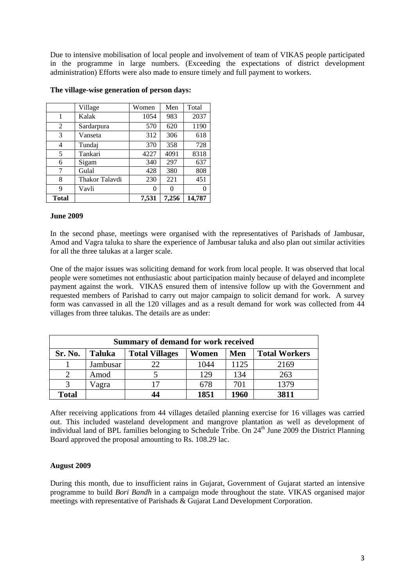Due to intensive mobilisation of local people and involvement of team of VIKAS people participated in the programme in large numbers. (Exceeding the expectations of district development administration) Efforts were also made to ensure timely and full payment to workers.

|                | Village        | Women | Men          | Total  |
|----------------|----------------|-------|--------------|--------|
| 1              | Kalak          | 1054  | 983          | 2037   |
| $\overline{2}$ | Sardarpura     | 570   | 620          | 1190   |
| 3              | Vanseta        | 312   | 306          | 618    |
| 4              | Tundaj         | 370   | 358          | 728    |
| 5              | Tankari        | 4227  | 4091         | 8318   |
| 6              | Sigam          | 340   | 297          | 637    |
| 7              | Gulal          | 428   | 380          | 808    |
| 8              | Thakor Talavdi | 230   | 221          | 451    |
| 9              | Vavli          | 0     | $\mathbf{0}$ | 0      |
| Total          |                | 7,531 | 7,256        | 14.787 |

#### **The village-wise generation of person days:**

#### **June 2009**

In the second phase, meetings were organised with the representatives of Parishads of Jambusar, Amod and Vagra taluka to share the experience of Jambusar taluka and also plan out similar activities for all the three talukas at a larger scale.

One of the major issues was soliciting demand for work from local people. It was observed that local people were sometimes not enthusiastic about participation mainly because of delayed and incomplete payment against the work. VIKAS ensured them of intensive follow up with the Government and requested members of Parishad to carry out major campaign to solicit demand for work. A survey form was canvassed in all the 120 villages and as a result demand for work was collected from 44 villages from three talukas. The details are as under:

| Summary of demand for work received |               |                       |       |      |                      |  |
|-------------------------------------|---------------|-----------------------|-------|------|----------------------|--|
| Sr. No.                             | <b>Taluka</b> | <b>Total Villages</b> | Women | Men  | <b>Total Workers</b> |  |
|                                     | Jambusar      | 22                    | 1044  | 1125 | 2169                 |  |
| $\mathcal{D}$                       | Amod          |                       | 129   | 134  | 263                  |  |
|                                     | Vagra         |                       | 678   | 701  | 1379                 |  |
| <b>Total</b>                        |               |                       | 1851  | 1960 | 3811                 |  |

After receiving applications from 44 villages detailed planning exercise for 16 villages was carried out. This included wasteland development and mangrove plantation as well as development of individual land of BPL families belonging to Schedule Tribe. On 24<sup>th</sup> June 2009 the District Planning Board approved the proposal amounting to Rs. 108.29 lac.

## **August 2009**

During this month, due to insufficient rains in Gujarat, Government of Gujarat started an intensive programme to build *Bori Bandh* in a campaign mode throughout the state. VIKAS organised major meetings with representative of Parishads & Gujarat Land Development Corporation.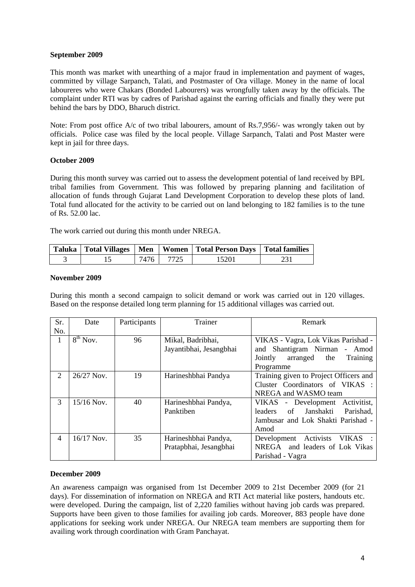## **September 2009**

This month was market with unearthing of a major fraud in implementation and payment of wages, committed by village Sarpanch, Talati, and Postmaster of Ora village. Money in the name of local laboureres who were Chakars (Bonded Labourers) was wrongfully taken away by the officials. The complaint under RTI was by cadres of Parishad against the earring officials and finally they were put behind the bars by DDO, Bharuch district.

Note: From post office A/c of two tribal labourers, amount of Rs.7,956/- was wrongly taken out by officials. Police case was filed by the local people. Village Sarpanch, Talati and Post Master were kept in jail for three days.

## **October 2009**

During this month survey was carried out to assess the development potential of land received by BPL tribal families from Government. This was followed by preparing planning and facilitation of allocation of funds through Gujarat Land Development Corporation to develop these plots of land. Total fund allocated for the activity to be carried out on land belonging to 182 families is to the tune of Rs. 52.00 lac.

The work carried out during this month under NREGA.

|  |           | Taluka   Total Villages   Men   Women   Total Person Days   Total families |  |
|--|-----------|----------------------------------------------------------------------------|--|
|  | 7476 7725 | 15201                                                                      |  |

## **November 2009**

During this month a second campaign to solicit demand or work was carried out in 120 villages. Based on the response detailed long term planning for 15 additional villages was carried out.

| Sr.<br>No.               | Date         | Participants | Trainer                                        | Remark                                                                                                                  |
|--------------------------|--------------|--------------|------------------------------------------------|-------------------------------------------------------------------------------------------------------------------------|
| 1                        | $8th$ Nov.   | 96           | Mikal, Badribhai,<br>Jayantibhai, Jesangbhai   | VIKAS - Vagra, Lok Vikas Parishad -<br>and Shantigram Nirman - Amod<br>Jointly<br>arranged the<br>Training<br>Programme |
| 2                        | $26/27$ Nov. | 19           | Harineshbhai Pandya                            | Training given to Project Officers and<br>Cluster Coordinators of VIKAS :<br>NREGA and WASMO team                       |
| 3                        | $15/16$ Nov. | 40           | Harineshbhai Pandya,<br>Panktiben              | VIKAS - Development Activitist,<br>of Janshakti<br>Parishad.<br>leaders<br>Jambusar and Lok Shakti Parishad -<br>Amod   |
| $\overline{\mathcal{A}}$ | $16/17$ Nov. | 35           | Harineshbhai Pandya,<br>Pratapbhai, Jesangbhai | VIKAS :<br>Development Activists<br>NREGA and leaders of Lok Vikas<br>Parishad - Vagra                                  |

## **December 2009**

An awareness campaign was organised from 1st December 2009 to 21st December 2009 (for 21 days). For dissemination of information on NREGA and RTI Act material like posters, handouts etc. were developed. During the campaign, list of 2,220 families without having job cards was prepared. Supports have been given to those families for availing job cards. Moreover, 883 people have done applications for seeking work under NREGA. Our NREGA team members are supporting them for availing work through coordination with Gram Panchayat.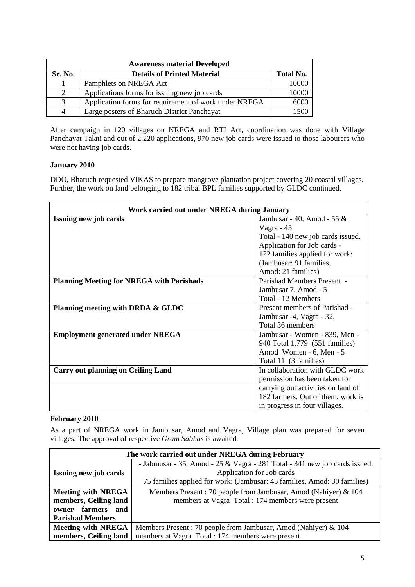| <b>Awareness material Developed</b> |                                                       |                  |  |  |  |
|-------------------------------------|-------------------------------------------------------|------------------|--|--|--|
| Sr. No.                             | <b>Details of Printed Material</b>                    | <b>Total No.</b> |  |  |  |
|                                     | Pamphlets on NREGA Act                                | 10000            |  |  |  |
| 2                                   | Applications forms for issuing new job cards          | 10000            |  |  |  |
| 3                                   | Application forms for requirement of work under NREGA | 6000             |  |  |  |
| 4                                   | Large posters of Bharuch District Panchayat           | 1500             |  |  |  |

After campaign in 120 villages on NREGA and RTI Act, coordination was done with Village Panchayat Talati and out of 2,220 applications, 970 new job cards were issued to those labourers who were not having job cards.

## **January 2010**

DDO, Bharuch requested VIKAS to prepare mangrove plantation project covering 20 coastal villages. Further, the work on land belonging to 182 tribal BPL families supported by GLDC continued.

| Work carried out under NREGA during January      |                                    |  |  |  |
|--------------------------------------------------|------------------------------------|--|--|--|
| <b>Issuing new job cards</b>                     | Jambusar - 40, Amod - 55 $\&$      |  |  |  |
|                                                  | Vagra - $45$                       |  |  |  |
|                                                  | Total - 140 new job cards issued.  |  |  |  |
|                                                  | Application for Job cards -        |  |  |  |
|                                                  | 122 families applied for work:     |  |  |  |
|                                                  | (Jambusar: 91 families,            |  |  |  |
|                                                  | Amod: 21 families)                 |  |  |  |
| <b>Planning Meeting for NREGA with Parishads</b> | Parishad Members Present -         |  |  |  |
|                                                  | Jambusar 7, Amod - 5               |  |  |  |
|                                                  | Total - 12 Members                 |  |  |  |
| Planning meeting with DRDA & GLDC                | Present members of Parishad -      |  |  |  |
|                                                  | Jambusar -4, Vagra - 32,           |  |  |  |
|                                                  | Total 36 members                   |  |  |  |
| <b>Employment generated under NREGA</b>          | Jambusar - Women - 839, Men -      |  |  |  |
|                                                  | 940 Total 1,779 (551 families)     |  |  |  |
|                                                  | Amod Women - 6, Men - 5            |  |  |  |
|                                                  | Total 11 (3 families)              |  |  |  |
| <b>Carry out planning on Ceiling Land</b>        | In collaboration with GLDC work    |  |  |  |
|                                                  | permission has been taken for      |  |  |  |
|                                                  | carrying out activities on land of |  |  |  |
|                                                  | 182 farmers. Out of them, work is  |  |  |  |
|                                                  | in progress in four villages.      |  |  |  |

## **February 2010**

As a part of NREGA work in Jambusar, Amod and Vagra, Village plan was prepared for seven villages. The approval of respective *Gram Sabhas* is awaited*.*

| The work carried out under NREGA during February                                            |                                                                            |  |  |  |  |
|---------------------------------------------------------------------------------------------|----------------------------------------------------------------------------|--|--|--|--|
|                                                                                             | - Jabmusar - 35, Amod - 25 & Vagra - 281 Total - 341 new job cards issued. |  |  |  |  |
| <b>Issuing new job cards</b>                                                                | Application for Job cards                                                  |  |  |  |  |
|                                                                                             | 75 families applied for work: (Jambusar: 45 families, Amod: 30 families)   |  |  |  |  |
| Members Present: 70 people from Jambusar, Amod (Nahiyer) & 104<br><b>Meeting with NREGA</b> |                                                                            |  |  |  |  |
| members, Ceiling land                                                                       | members at Vagra Total : 174 members were present                          |  |  |  |  |
| owner farmers and                                                                           |                                                                            |  |  |  |  |
| <b>Parishad Members</b>                                                                     |                                                                            |  |  |  |  |
| <b>Meeting with NREGA</b>                                                                   | Members Present: 70 people from Jambusar, Amod (Nahiyer) & 104             |  |  |  |  |
| members, Ceiling land                                                                       | members at Vagra Total : 174 members were present                          |  |  |  |  |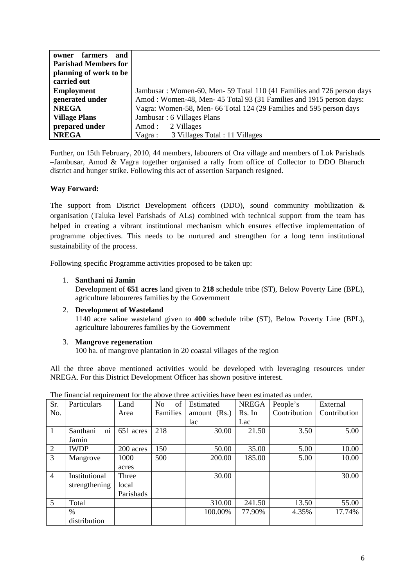| and<br>farmers<br>owner     |                                                                       |
|-----------------------------|-----------------------------------------------------------------------|
| <b>Parishad Members for</b> |                                                                       |
| planning of work to be      |                                                                       |
| carried out                 |                                                                       |
| <b>Employment</b>           | Jambusar: Women-60, Men-59 Total 110 (41 Families and 726 person days |
| generated under             | Amod: Women-48, Men-45 Total 93 (31 Families and 1915 person days:    |
| <b>NREGA</b>                | Vagra: Women-58, Men-66 Total 124 (29 Families and 595 person days    |
| <b>Village Plans</b>        | Jambusar: 6 Villages Plans                                            |
| prepared under              | 2 Villages<br>Amod:                                                   |
| <b>NREGA</b>                | 3 Villages Total : 11 Villages<br>Vagra :                             |

Further, on 15th February, 2010, 44 members, labourers of Ora village and members of Lok Parishads –Jambusar, Amod & Vagra together organised a rally from office of Collector to DDO Bharuch district and hunger strike. Following this act of assertion Sarpanch resigned.

## **Way Forward:**

The support from District Development officers (DDO), sound community mobilization & organisation (Taluka level Parishads of ALs) combined with technical support from the team has helped in creating a vibrant institutional mechanism which ensures effective implementation of programme objectives. This needs to be nurtured and strengthen for a long term institutional sustainability of the process.

Following specific Programme activities proposed to be taken up:

## 1. **Santhani ni Jamin**

Development of **651 acres** land given to **218** schedule tribe (ST), Below Poverty Line (BPL), agriculture laboureres families by the Government

## 2. **Development of Wasteland**

1140 acre saline wasteland given to **400** schedule tribe (ST), Below Poverty Line (BPL), agriculture laboureres families by the Government

## 3. **Mangrove regeneration**

100 ha. of mangrove plantation in 20 coastal villages of the region

All the three above mentioned activities would be developed with leveraging resources under NREGA. For this District Development Officer has shown positive interest.

| Sr.            | Particulars    | Land      | of<br>N <sub>0</sub> | Estimated    | <b>NREGA</b> | People's     | External     |
|----------------|----------------|-----------|----------------------|--------------|--------------|--------------|--------------|
| No.            |                | Area      | Families             | amount (Rs.) | Rs. In       | Contribution | Contribution |
|                |                |           |                      | lac          | Lac          |              |              |
| 1              | ni<br>Santhani | 651 acres | 218                  | 30.00        | 21.50        | 3.50         | 5.00         |
|                | Jamin          |           |                      |              |              |              |              |
| $\overline{2}$ | <b>IWDP</b>    | 200 acres | 150                  | 50.00        | 35.00        | 5.00         | 10.00        |
| 3              | Mangrove       | 1000      | 500                  | 200.00       | 185.00       | 5.00         | 10.00        |
|                |                | acres     |                      |              |              |              |              |
| $\overline{4}$ | Institutional  | Three     |                      | 30.00        |              |              | 30.00        |
|                | strengthening  | local     |                      |              |              |              |              |
|                |                | Parishads |                      |              |              |              |              |
| 5              | Total          |           |                      | 310.00       | 241.50       | 13.50        | 55.00        |
|                | $\%$           |           |                      | 100.00%      | 77.90%       | 4.35%        | 17.74%       |
|                | distribution   |           |                      |              |              |              |              |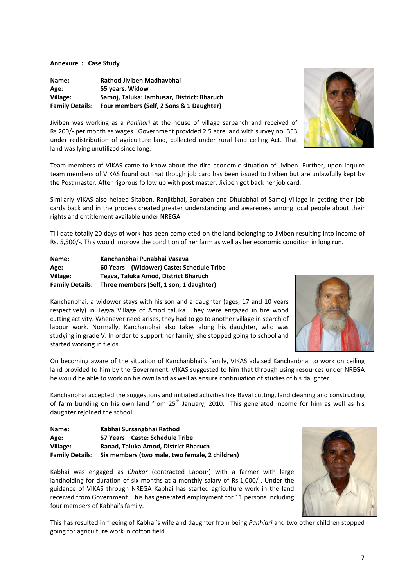**Annexure : Case Study**

**Name: Rathod Jiviben Madhavbhai Age: 55 years. Widow Village: Samoj, Taluka: Jambusar, District: Bharuch Family Details: Four members (Self, 2 Sons & 1 Daughter)**



Jiviben was working as a *Panihari* at the house of village sarpanch and received of Rs.200/‐ per month as wages. Government provided 2.5 acre land with survey no. 353 under redistribution of agriculture land, collected under rural land ceiling Act. That land was lying unutilized since long.

Team members of VIKAS came to know about the dire economic situation of Jiviben. Further, upon inquire team members of VIKAS found out that though job card has been issued to Jiviben but are unlawfully kept by the Post master. After rigorous follow up with post master, Jiviben got back her job card.

Similarly VIKAS also helped Sitaben, Ranjitbhai, Sonaben and Dhulabhai of Samoj Village in getting their job cards back and in the process created greater understanding and awareness among local people about their rights and entitlement available under NREGA.

Till date totally 20 days of work has been completed on the land belonging to Jiviben resulting into income of Rs. 5,500/‐. This would improve the condition of her farm as well as her economic condition in long run.

| Name:                  | Kanchanbhai Punabhai Vasava              |  |
|------------------------|------------------------------------------|--|
| Age:                   | 60 Years (Widower) Caste: Schedule Tribe |  |
| Village:               | Tegva, Taluka Amod, District Bharuch     |  |
| <b>Family Details:</b> | Three members (Self, 1 son, 1 daughter)  |  |

Kanchanbhai, a widower stays with his son and a daughter (ages; 17 and 10 years respectively) in Tegva Village of Amod taluka. They were engaged in fire wood cutting activity. Whenever need arises, they had to go to another village in search of labour work. Normally, Kanchanbhai also takes along his daughter, who was studying in grade V. In order to support her family, she stopped going to school and started working in fields.



On becoming aware of the situation of Kanchanbhai's family, VIKAS advised Kanchanbhai to work on ceiling land provided to him by the Government. VIKAS suggested to him that through using resources under NREGA he would be able to work on his own land as well as ensure continuation of studies of his daughter.

Kanchanbhai accepted the suggestions and initiated activities like Baval cutting, land cleaning and constructing of farm bunding on his own land from  $25<sup>th</sup>$  January, 2010. This generated income for him as well as his daughter rejoined the school.

| Name:                  | Kabhai Sursangbhai Rathod                      |
|------------------------|------------------------------------------------|
| Age:                   | 57 Years Caste: Schedule Tribe                 |
| Village:               | Ranad. Taluka Amod. District Bharuch           |
| <b>Family Details:</b> | Six members (two male, two female, 2 children) |

Kabhai was engaged as *Chakar* (contracted Labour) with a farmer with large landholding for duration of six months at a monthly salary of Rs.1,000/-. Under the guidance of VIKAS through NREGA Kabhai has started agriculture work in the land received from Government. This has generated employment for 11 persons including four members of Kabhai's family.



This has resulted in freeing of Kabhai's wife and daughter from being *Panhiari* and two other children stopped going for agriculture work in cotton field.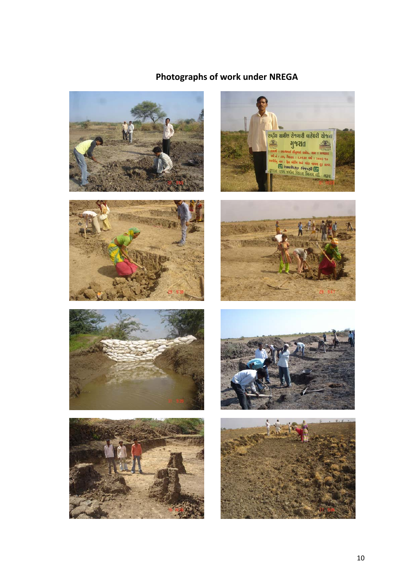# **Photographs of work under NREGA**















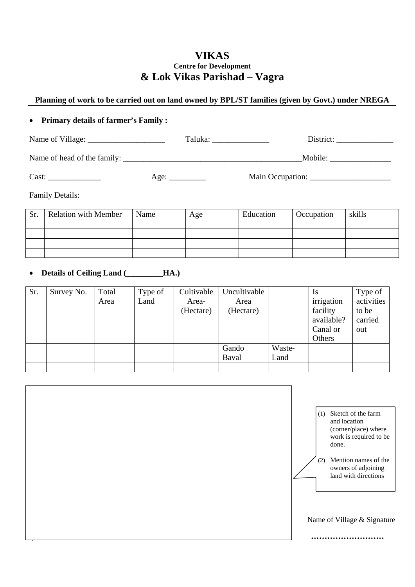## **VIKAS Centre for Development & Lok Vikas Parishad – Vagra**

## **Planning of work to be carried out on land owned by BPL/ST families (given by Govt.) under NREGA**

## • **Primary details of farmer's Family :**

| Name of Village:            | Taluka: | District:        |  |
|-----------------------------|---------|------------------|--|
| Name of head of the family: |         | Mobile:          |  |
| Cast:                       | Age:    | Main Occupation: |  |

Family Details:

| Sr. | <b>Relation with Member</b> | Name | Age | Education | Occupation | skills |
|-----|-----------------------------|------|-----|-----------|------------|--------|
|     |                             |      |     |           |            |        |
|     |                             |      |     |           |            |        |
|     |                             |      |     |           |            |        |
|     |                             |      |     |           |            |        |

• **Details of Ceiling Land (\_\_\_\_\_\_\_\_\_HA.)** 

| Sr. | Survey No. | Total | Type of | Cultivable | Uncultivable |        | Is         | Type of    |
|-----|------------|-------|---------|------------|--------------|--------|------------|------------|
|     |            | Area  | Land    | Area-      | Area         |        | irrigation | activities |
|     |            |       |         | (Hectare)  | (Hectare)    |        | facility   | to be      |
|     |            |       |         |            |              |        | available? | carried    |
|     |            |       |         |            |              |        | Canal or   | out        |
|     |            |       |         |            |              |        | Others     |            |
|     |            |       |         |            | Gando        | Waste- |            |            |
|     |            |       |         |            | Baval        | Land   |            |            |
|     |            |       |         |            |              |        |            |            |

|  | (1) Sketch of the farm<br>and location<br>(corner/place) where<br>work is required to be<br>done.<br>Mention names of the<br>(2)<br>owners of adjoining<br>land with directions |
|--|---------------------------------------------------------------------------------------------------------------------------------------------------------------------------------|
|  | Name of Village & Signature                                                                                                                                                     |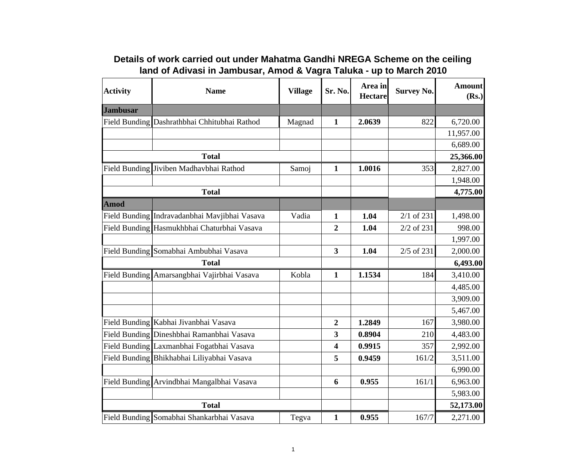| <b>Activity</b> | <b>Name</b>                                   | <b>Village</b> | Sr. No.                 | Area in<br><b>Hectare</b> | <b>Survey No.</b> | <b>Amount</b><br>(Rs.) |
|-----------------|-----------------------------------------------|----------------|-------------------------|---------------------------|-------------------|------------------------|
| <b>Jambusar</b> |                                               |                |                         |                           |                   |                        |
|                 | Field Bunding Dashrathbhai Chhitubhai Rathod  | Magnad         | $\mathbf{1}$            | 2.0639                    | 822               | 6,720.00               |
|                 |                                               |                |                         |                           |                   | 11,957.00              |
|                 |                                               |                |                         |                           |                   | 6,689.00               |
|                 | <b>Total</b>                                  |                |                         |                           |                   | 25,366.00              |
|                 | Field Bunding Jiviben Madhavbhai Rathod       | Samoj          | $\mathbf{1}$            | 1.0016                    | 353               | 2,827.00               |
|                 |                                               |                |                         |                           |                   | 1,948.00               |
|                 | <b>Total</b>                                  |                |                         |                           |                   | 4,775.00               |
| Amod            |                                               |                |                         |                           |                   |                        |
|                 | Field Bunding Indravadanbhai Mavjibhai Vasava | Vadia          | 1                       | 1.04                      | 2/1 of 231        | 1,498.00               |
|                 | Field Bunding Hasmukhbhai Chaturbhai Vasava   |                | $\mathbf{2}$            | 1.04                      | 2/2 of 231        | 998.00                 |
|                 |                                               |                |                         |                           |                   | 1,997.00               |
|                 | Field Bunding Somabhai Ambubhai Vasava        |                | $\overline{\mathbf{3}}$ | 1.04                      | 2/5 of 231        | 2,000.00               |
|                 | <b>Total</b>                                  |                |                         |                           |                   | 6,493.00               |
|                 | Field Bunding Amarsangbhai Vajirbhai Vasava   | Kobla          | $\mathbf{1}$            | 1.1534                    | 184               | 3,410.00               |
|                 |                                               |                |                         |                           |                   | 4,485.00               |
|                 |                                               |                |                         |                           |                   | 3,909.00               |
|                 |                                               |                |                         |                           |                   | 5,467.00               |
|                 | Field Bunding Kabhai Jivanbhai Vasava         |                | $\overline{2}$          | 1.2849                    | 167               | 3,980.00               |
|                 | Field Bunding Dineshbhai Ramanbhai Vasava     |                | 3                       | 0.8904                    | 210               | 4,483.00               |
|                 | Field Bunding Laxmanbhai Fogatbhai Vasava     |                | $\overline{\mathbf{4}}$ | 0.9915                    | 357               | 2,992.00               |
|                 | Field Bunding Bhikhabhai Liliyabhai Vasava    |                | 5                       | 0.9459                    | 161/2             | 3,511.00               |
|                 |                                               |                |                         |                           |                   | 6,990.00               |
|                 | Field Bunding Arvindbhai Mangalbhai Vasava    |                | 6                       | 0.955                     | 161/1             | 6,963.00               |
|                 |                                               |                |                         |                           |                   | 5,983.00               |
|                 | <b>Total</b>                                  |                |                         |                           |                   | 52,173.00              |
|                 | Field Bunding Somabhai Shankarbhai Vasava     | Tegva          | $\mathbf{1}$            | 0.955                     | 167/7             | 2,271.00               |

# **Details of work carried out under Mahatma Gandhi NREGA Scheme on the ceiling land of Adivasi in Jambusar, Amod & Vagra Taluka - up to March 2010**

 $\Box$ 

 $\overline{\phantom{a}}$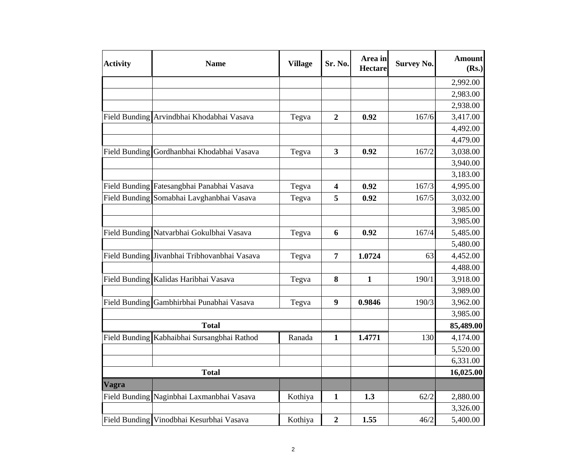| <b>Activity</b> | <b>Name</b>                                  | <b>Village</b> | Sr. No.                 | Area in<br><b>Hectare</b> | <b>Survey No.</b> | <b>Amount</b><br>(Rs.) |
|-----------------|----------------------------------------------|----------------|-------------------------|---------------------------|-------------------|------------------------|
|                 |                                              |                |                         |                           |                   | 2,992.00               |
|                 |                                              |                |                         |                           |                   | 2,983.00               |
|                 |                                              |                |                         |                           |                   | 2,938.00               |
|                 | Field Bunding Arvindbhai Khodabhai Vasava    | Tegva          | $\boldsymbol{2}$        | 0.92                      | 167/6             | 3,417.00               |
|                 |                                              |                |                         |                           |                   | 4,492.00               |
|                 |                                              |                |                         |                           |                   | 4,479.00               |
|                 | Field Bunding Gordhanbhai Khodabhai Vasava   | Tegva          | 3                       | 0.92                      | 167/2             | 3,038.00               |
|                 |                                              |                |                         |                           |                   | 3,940.00               |
|                 |                                              |                |                         |                           |                   | 3,183.00               |
|                 | Field Bunding Fatesangbhai Panabhai Vasava   | Tegva          | $\overline{\mathbf{4}}$ | 0.92                      | 167/3             | 4,995.00               |
|                 | Field Bunding Somabhai Lavghanbhai Vasava    | Tegva          | 5                       | 0.92                      | 167/5             | 3,032.00               |
|                 |                                              |                |                         |                           |                   | 3,985.00               |
|                 |                                              |                |                         |                           |                   | 3,985.00               |
|                 | Field Bunding Natvarbhai Gokulbhai Vasava    | Tegva          | 6                       | 0.92                      | 167/4             | 5,485.00               |
|                 |                                              |                |                         |                           |                   | 5,480.00               |
|                 | Field Bunding Jivanbhai Tribhovanbhai Vasava | Tegva          | $\overline{7}$          | 1.0724                    | 63                | 4,452.00               |
|                 |                                              |                |                         |                           |                   | 4,488.00               |
|                 | Field Bunding Kalidas Haribhai Vasava        | Tegva          | 8                       | $\mathbf{1}$              | 190/1             | 3,918.00               |
|                 |                                              |                |                         |                           |                   | 3,989.00               |
|                 | Field Bunding Gambhirbhai Punabhai Vasava    | Tegva          | $\boldsymbol{9}$        | 0.9846                    | 190/3             | 3,962.00               |
|                 |                                              |                |                         |                           |                   | 3,985.00               |
|                 | <b>Total</b>                                 |                |                         |                           |                   | 85,489.00              |
|                 | Field Bunding Kabhaibhai Sursangbhai Rathod  | Ranada         | $\mathbf{1}$            | 1.4771                    | 130               | 4,174.00               |
|                 |                                              |                |                         |                           |                   | 5,520.00               |
|                 |                                              |                |                         |                           |                   | 6,331.00               |
|                 | <b>Total</b>                                 |                |                         |                           |                   | 16,025.00              |
| <b>Vagra</b>    |                                              |                |                         |                           |                   |                        |
|                 | Field Bunding Naginbhai Laxmanbhai Vasava    | Kothiya        | 1                       | 1.3                       | 62/2              | 2,880.00               |
|                 |                                              |                |                         |                           |                   | 3,326.00               |
|                 | Field Bunding Vinodbhai Kesurbhai Vasava     | Kothiya        | $\boldsymbol{2}$        | 1.55                      | 46/2              | 5,400.00               |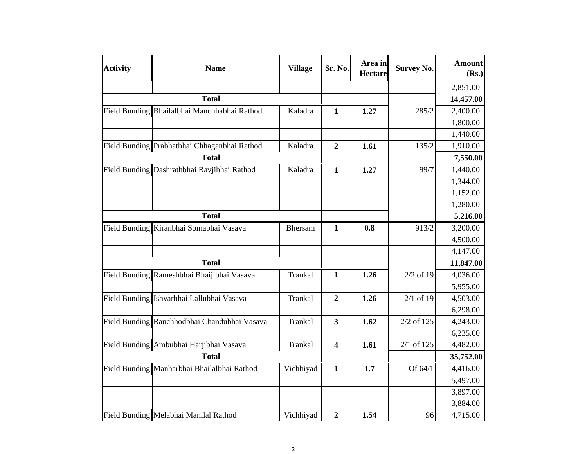| <b>Activity</b> | <b>Name</b>                                  | <b>Village</b> | Sr. No.          | Area in<br><b>Hectare</b> | <b>Survey No.</b> | <b>Amount</b><br>(Rs.) |
|-----------------|----------------------------------------------|----------------|------------------|---------------------------|-------------------|------------------------|
|                 |                                              |                |                  |                           |                   | 2,851.00               |
|                 | <b>Total</b>                                 |                |                  |                           |                   | 14,457.00              |
|                 | Field Bunding Bhailalbhai Manchhabhai Rathod | Kaladra        | $\mathbf{1}$     | 1.27                      | 285/2             | 2,400.00               |
|                 |                                              |                |                  |                           |                   | 1,800.00               |
|                 |                                              |                |                  |                           |                   | 1,440.00               |
|                 | Field Bunding Prabhatbhai Chhaganbhai Rathod | Kaladra        | $\boldsymbol{2}$ | 1.61                      | 135/2             | 1,910.00               |
|                 | <b>Total</b>                                 |                |                  |                           |                   | 7,550.00               |
|                 | Field Bunding Dashrathbhai Ravjibhai Rathod  | Kaladra        | $\mathbf{1}$     | 1.27                      | 99/7              | 1,440.00               |
|                 |                                              |                |                  |                           |                   | 1,344.00               |
|                 |                                              |                |                  |                           |                   | 1,152.00               |
|                 |                                              |                |                  |                           |                   | 1,280.00               |
|                 | <b>Total</b>                                 |                |                  |                           |                   | 5,216.00               |
|                 | Field Bunding Kiranbhai Somabhai Vasava      | Bhersam        | $\mathbf{1}$     | 0.8                       | 913/2             | 3,200.00               |
|                 |                                              |                |                  |                           |                   | 4,500.00               |
|                 |                                              |                |                  |                           |                   | 4,147.00               |
|                 | <b>Total</b>                                 |                |                  |                           |                   | 11,847.00              |
|                 | Field Bunding Rameshbhai Bhaijibhai Vasava   | Trankal        | $\mathbf{1}$     | 1.26                      | $2/2$ of 19       | 4,036.00               |
|                 |                                              |                |                  |                           |                   | 5,955.00               |
|                 | Field Bunding Ishvarbhai Lallubhai Vasava    | Trankal        | $\overline{2}$   | 1.26                      | $2/1$ of 19       | 4,503.00               |
|                 |                                              |                |                  |                           |                   | 6,298.00               |
|                 | Field Bunding Ranchhodbhai Chandubhai Vasava | Trankal        | 3                | 1.62                      | 2/2 of 125        | 4,243.00               |
|                 |                                              |                |                  |                           |                   | 6,235.00               |
|                 | Field Bunding Ambubhai Harjibhai Vasava      | Trankal        | 4                | 1.61                      | $2/1$ of 125      | 4,482.00               |
|                 | <b>Total</b>                                 |                |                  |                           |                   | 35,752.00              |
|                 | Field Bunding Manharbhai Bhailalbhai Rathod  | Vichhiyad      | $\mathbf{1}$     | 1.7                       | Of 64/1           | 4,416.00               |
|                 |                                              |                |                  |                           |                   | 5,497.00               |
|                 |                                              |                |                  |                           |                   | 3,897.00               |
|                 |                                              |                |                  |                           |                   | 3,884.00               |
|                 | Field Bunding Melabhai Manilal Rathod        | Vichhiyad      | $\boldsymbol{2}$ | 1.54                      | 96                | 4,715.00               |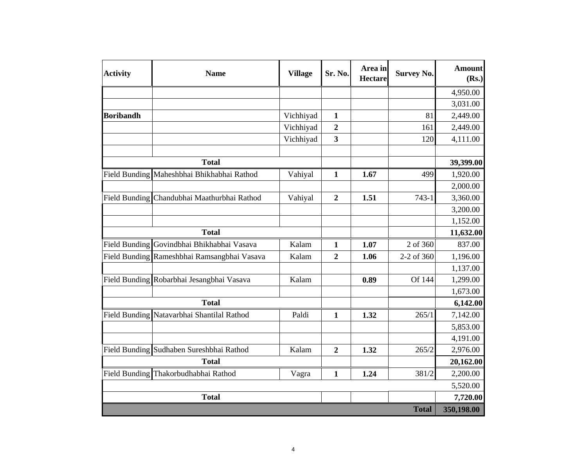| <b>Activity</b>  | <b>Name</b>                                 | <b>Village</b> | Sr. No.                 | Area in<br><b>Hectare</b> | <b>Survey No.</b> | <b>Amount</b><br>(Rs.) |
|------------------|---------------------------------------------|----------------|-------------------------|---------------------------|-------------------|------------------------|
|                  |                                             |                |                         |                           |                   | 4,950.00               |
|                  |                                             |                |                         |                           |                   | 3,031.00               |
| <b>Boribandh</b> |                                             | Vichhiyad      | $\mathbf{1}$            |                           | 81                | 2,449.00               |
|                  |                                             | Vichhiyad      | $\boldsymbol{2}$        |                           | 161               | 2,449.00               |
|                  |                                             | Vichhiyad      | $\overline{\mathbf{3}}$ |                           | 120               | 4,111.00               |
|                  | <b>Total</b>                                |                |                         |                           |                   | 39,399.00              |
|                  | Field Bunding Maheshbhai Bhikhabhai Rathod  | Vahiyal        | $\mathbf{1}$            | 1.67                      | 499               | 1,920.00               |
|                  |                                             |                |                         |                           |                   | 2,000.00               |
|                  | Field Bunding Chandubhai Maathurbhai Rathod | Vahiyal        | $\boldsymbol{2}$        | 1.51                      | $743 - 1$         | 3,360.00               |
|                  |                                             |                |                         |                           |                   | 3,200.00               |
|                  |                                             |                |                         |                           |                   | 1,152.00               |
|                  | <b>Total</b>                                |                |                         |                           |                   | 11,632.00              |
|                  | Field Bunding Govindbhai Bhikhabhai Vasava  | Kalam          | $\mathbf{1}$            | 1.07                      | 2 of 360          | 837.00                 |
|                  | Field Bunding Rameshbhai Ramsangbhai Vasava | Kalam          | $\boldsymbol{2}$        | 1.06                      | 2-2 of 360        | 1,196.00               |
|                  |                                             |                |                         |                           |                   | 1,137.00               |
|                  | Field Bunding Robarbhai Jesangbhai Vasava   | Kalam          |                         | 0.89                      | Of 144            | 1,299.00               |
|                  |                                             |                |                         |                           |                   | 1,673.00               |
|                  | <b>Total</b>                                |                |                         |                           |                   | 6,142.00               |
|                  | Field Bunding Natavarbhai Shantilal Rathod  | Paldi          | $\mathbf{1}$            | 1.32                      | 265/1             | 7,142.00               |
|                  |                                             |                |                         |                           |                   | 5,853.00               |
|                  |                                             |                |                         |                           |                   | 4,191.00               |
|                  | Field Bunding Sudhaben Sureshbhai Rathod    | Kalam          | $\overline{2}$          | 1.32                      | 265/2             | 2,976.00               |
|                  | <b>Total</b>                                |                |                         |                           | 20,162.00         |                        |
|                  | Field Bunding Thakorbudhabhai Rathod        | Vagra          | $\mathbf{1}$            | 1.24                      | 381/2             | 2,200.00               |
|                  |                                             |                |                         |                           |                   | 5,520.00               |
|                  | <b>Total</b>                                |                |                         |                           |                   | 7,720.00               |
|                  |                                             |                |                         |                           | <b>Total</b>      | 350,198.00             |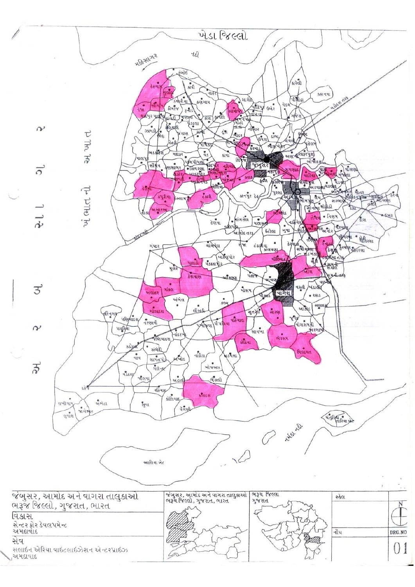|                 |                                  |                  |               |                                                             |                                                                                                                                                            | ખેડા જિલ્લો                                                                                 |                                                                                    |                                                                                                                              |                                                                            |  |
|-----------------|----------------------------------|------------------|---------------|-------------------------------------------------------------|------------------------------------------------------------------------------------------------------------------------------------------------------------|---------------------------------------------------------------------------------------------|------------------------------------------------------------------------------------|------------------------------------------------------------------------------------------------------------------------------|----------------------------------------------------------------------------|--|
|                 |                                  |                  |               | <b>HIGALOL2</b>                                             |                                                                                                                                                            | નફી                                                                                         |                                                                                    |                                                                                                                              |                                                                            |  |
|                 |                                  |                  |               | નજા                                                         | કબોઇ<br>$\overline{\mathcal{L}}$<br><b>CAPLE</b><br>bicuc<br>Ser 22 41<br>all o<br>$\mathfrak{g}_{\mathcal{W}}$<br>$3 - 115$<br>gie ye yuku<br>giano grand | नाइर<br>ુ<br>કણગામ<br>સામાર્<br>PHETULE<br>जन्म अवस्ति                                      | સારોકે<br>વેડચ<br>uchy Gole<br>$\sqrt{2}$                                          | $\int_{\mathsf{S} \mathsf{L} \mathsf{R} \in \mathsf{R} \mathsf{R}}$<br>કહાનવા<br><b>DRAGE</b><br>'अहिंसे                     | a3621 024                                                                  |  |
|                 | $\sim$                           |                  | τ<br>ગ્રાપ્ય  |                                                             | कुलिसारी<br>٠<br>38148<br>જત્રાણ<br>AGL<br>٠<br>Reg<br>ભડકોર્ટર્સ<br>HEL52                                                                                 | $\zeta_{\rm SL}^{\rm eq}$<br>अला<br>$d$ les<br>Fred 30 29<br>पाथड<br>$\frac{1}{4}s$<br>કાવા | $-il$ fue<br>$\mathring{\mathfrak{su}}$ ay<br>(64.2)<br>ર્યાવલ<br>ભાજૂખિ<br>SPALLS | GONG S<br>ષહેલગે<br>अएक्टर पर                                                                                                |                                                                            |  |
|                 | $\overline{\circ}$               |                  |               | માલપ                                                        | .<br>ફરાસાગર<br>सींश्रेय                                                                                                                                   | લિ<br>4 4 4 4 mil<br>- HERE WEYS<br>$-184$                                                  | <u>अ</u> प्रसर<br>$\frac{1}{2}$<br>मलापु<br>—                                      | <u>जोक्तहरा</u><br>41241                                                                                                     | વાસણો<br><b>PISAGU</b>                                                     |  |
|                 | $\vec{r}$                        |                  | ખેં ભાત ની    |                                                             | કપુરીયા<br><b><i><u> ડેસ્લામપુર</u></i></b><br>બ સારસા                                                                                                     | eiter up<br>ડેકારી<br>માંગરોળ<br>દેણવા<br>۰<br>વાસિપોક                                      | <b>GIERYHT</b><br>۰.<br>પુરસા<br>કા નપુર દેહ<br>$-40134$<br>બુવા<br>ઇંટોલા         | ज्यामी की मपेश से प<br>all-the Maldisl<br>$\bullet$ નિણમ<br>તેડાવા<br>નાફિયેર<br>समस्थिति                                    | 2(100)<br>pia silata management<br>સરભાષે<br>$500 - 4$<br>ડીશ<br>वैश्मप्रे |  |
|                 |                                  |                  |               |                                                             | ગંધાર<br>uas<br>मूर्वर<br>देशवाए                                                                                                                           | આનોદ તરફ<br>यांश्येयेल<br>नेश<br>બાર્જલપોર<br>usean<br>ઑસ્ટ્ય                               | ડંકાશયા<br>કોલવણા<br>dlibut.<br>पहान्न<br>માયણ                                     | तीरीपुत्र<br>$2 - 131$<br>$3 - \frac{1}{2}$ and $\frac{1}{2}$<br>डे शुक्री<br>जीविया तरे<br>$\frac{1}{2}$<br>अर्थ के<br>ખીરા | પીમરમા<br>· Beyer<br>दुरथेश ग्रांतरशा<br>શમની નર્શક                        |  |
|                 | 3                                |                  |               |                                                             | ٠<br>ત્રાંકલ<br>અલાદર<br>અંભેલ                                                                                                                             | ۰<br>504                                                                                    | માસમ<br>चाश्या<br>13K)                                                             | વછ<br>uzal / wision<br>$-2615$                                                                                               |                                                                            |  |
|                 | $\sim$                           |                  |               | क्ष्टिनगर<br>ukyusa<br>uglistu                              | ગોલાદશ<br>નરણાવી<br> u                                                                                                                                     | $\bullet$<br>ellers<br>Vivinu abud<br>WHITE                                                 | सुतकेरी<br>સારણ<br>સાયખા                                                           | सद्गाहज<br>આકોર<br>of 4<br>( શે શે મની                                                                                       |                                                                            |  |
|                 |                                  |                  |               | ssige<br>નાવ                                                | જૈણિયાદરા<br>સંભેધિ<br>સામતપો<br>અખોડ                                                                                                                      | નાંદીડા<br>મુડયલા                                                                           | ભરસમ<br>લોકેયા                                                                     | વિલાયત                                                                                                                       |                                                                            |  |
|                 | $\vec{r}$                        |                  |               | वडहलू<br>ર્જાલવા                                            | ગલેન્ડર<br>અદાલી                                                                                                                                           | ખોજબલ<br>ભૈંસલી                                                                             |                                                                                    |                                                                                                                              |                                                                            |  |
|                 |                                  | લખીગામ<br>લુવાંશ | ege<br>જાગમ્ય | શ્રુતેદા<br>ધુવા                                            | २४िया ह<br>કોલિયાદ,<br>વગણી                                                                                                                                | કલાદસ                                                                                       |                                                                                    |                                                                                                                              | with fully of                                                              |  |
|                 |                                  |                  |               |                                                             |                                                                                                                                                            |                                                                                             |                                                                                    | <b>Night Ng</b>                                                                                                              |                                                                            |  |
|                 |                                  |                  |               |                                                             | આલિયા બેટ                                                                                                                                                  |                                                                                             |                                                                                    |                                                                                                                              |                                                                            |  |
| વિકાસ           | સેન્ટર ફોર ડેવલપમેન્ટ<br>અમદાવાદ |                  |               | જંબુસર, આમોદ અને વાગરા તાલુકાઓ<br>ભરૂજ જિલ્લો, ગુજરાત, ભારત |                                                                                                                                                            | જંબુસર, આમોદ અને વાગરા તાલુકાઓ<br>ભરૂચ જિલ્લો, ગુજરાત, ભારત                                 | <b>ભરૂચ</b> જિલ્લા<br>ગુજરાત                                                       |                                                                                                                              | સ્કેલ<br>N<br>નૉધ<br>DRG.NO                                                |  |
| સેવ<br>ુઅમદાવાદ |                                  |                  |               | સલાઇન એરિયા વાઇટલાઇઝેશન એન્ટરપ્રાઇઝ                         |                                                                                                                                                            |                                                                                             |                                                                                    |                                                                                                                              | 0 <sub>1</sub>                                                             |  |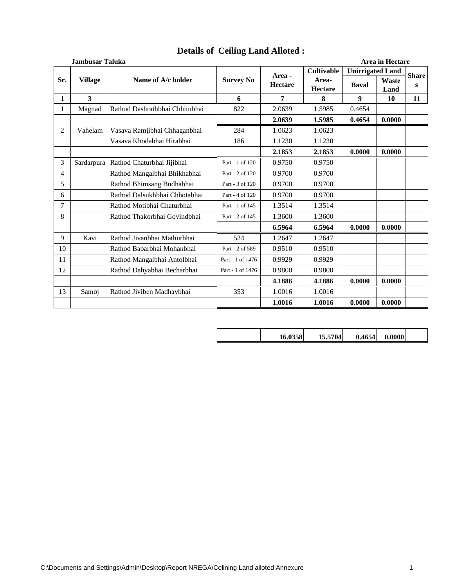|                | Area in Hectare<br><b>Jambusar Taluka</b> |                                |                  |                |                         |                         |                      |              |  |  |  |
|----------------|-------------------------------------------|--------------------------------|------------------|----------------|-------------------------|-------------------------|----------------------|--------------|--|--|--|
|                |                                           |                                |                  | Area -         | <b>Cultivable</b>       | <b>Unirrigated Land</b> |                      | <b>Share</b> |  |  |  |
| Sr.            | <b>Village</b>                            | Name of A/c holder             | <b>Survey No</b> | <b>Hectare</b> | Area-<br><b>Hectare</b> | <b>Baval</b>            | <b>Waste</b><br>Land | S            |  |  |  |
| $\mathbf{1}$   | $\mathbf{3}$                              |                                | 6                | $\overline{7}$ | 8                       | 9                       | 10                   | 11           |  |  |  |
| 1              | Magnad                                    | Rathod Dashrathbhai Chhitubhai | 822              | 2.0639         | 1.5985                  | 0.4654                  |                      |              |  |  |  |
|                |                                           |                                |                  | 2.0639         | 1.5985                  | 0.4654                  | 0.0000               |              |  |  |  |
| $\overline{2}$ | Vahelam                                   | Vasava Ramjibhai Chhaganbhai   | 284              | 1.0623         | 1.0623                  |                         |                      |              |  |  |  |
|                |                                           | Vasava Khodabhai Hirabhai      | 186              | 1.1230         | 1.1230                  |                         |                      |              |  |  |  |
|                |                                           |                                |                  | 2.1853         | 2.1853                  | 0.0000                  | 0.0000               |              |  |  |  |
| 3              | Sardarpura                                | Rathod Chaturbhai Jijibhai     | Part - 1 of 120  | 0.9750         | 0.9750                  |                         |                      |              |  |  |  |
| 4              |                                           | Rathod Mangalbhai Bhikhabhai   | Part - 2 of 120  | 0.9700         | 0.9700                  |                         |                      |              |  |  |  |
| 5              |                                           | Rathod Bhimsang Budhabhai      | Part - 3 of 120  | 0.9700         | 0.9700                  |                         |                      |              |  |  |  |
| 6              |                                           | Rathod Dalsukhbhai Chhotabhai  | Part - 4 of 120  | 0.9700         | 0.9700                  |                         |                      |              |  |  |  |
| 7              |                                           | Rathod Motibhai Chaturbhai     | Part - 1 of 145  | 1.3514         | 1.3514                  |                         |                      |              |  |  |  |
| 8              |                                           | Rathod Thakorbhai Govindbhai   | Part - 2 of 145  | 1.3600         | 1.3600                  |                         |                      |              |  |  |  |
|                |                                           |                                |                  | 6.5964         | 6.5964                  | 0.0000                  | 0.0000               |              |  |  |  |
| 9              | Kavi                                      | Rathod Jivanbhai Mathurbhai    | 524              | 1.2647         | 1.2647                  |                         |                      |              |  |  |  |
| 10             |                                           | Rathod Babarbhai Mohanbhai     | Part - 2 of 589  | 0.9510         | 0.9510                  |                         |                      |              |  |  |  |
| 11             |                                           | Rathod Mangalbhai Antolbhai    | Part - 1 of 1476 | 0.9929         | 0.9929                  |                         |                      |              |  |  |  |
| 12             |                                           | Rathod Dahyabhai Becharbhai    | Part - 1 of 1476 | 0.9800         | 0.9800                  |                         |                      |              |  |  |  |
|                |                                           |                                |                  | 4.1886         | 4.1886                  | 0.0000                  | 0.0000               |              |  |  |  |
| 13             | Samoj                                     | Rathod Jiviben Madhavbhai      | 353              | 1.0016         | 1.0016                  |                         |                      |              |  |  |  |
|                |                                           |                                |                  | 1.0016         | 1.0016                  | 0.0000                  | 0.0000               |              |  |  |  |

## **Details of Ceiling Land Alloted :**

| 581 | 15.5704 | 0.4654 | 0.00001 |  |
|-----|---------|--------|---------|--|
|     |         |        |         |  |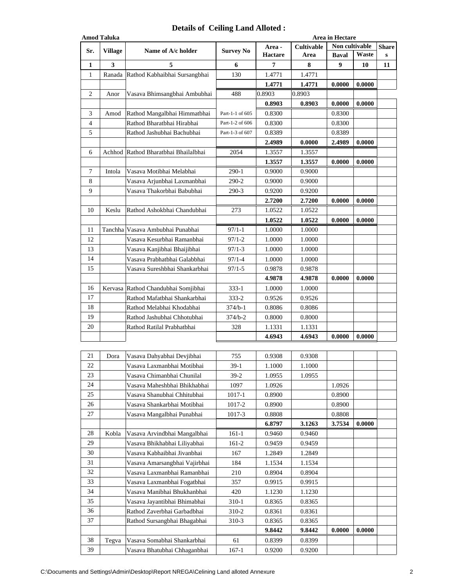## **Details of Ceiling Land Alloted :**

|              | <b>Amod Taluka</b> |                                                             |                  |                  |                  | Area in Hectare |        |              |  |  |  |
|--------------|--------------------|-------------------------------------------------------------|------------------|------------------|------------------|-----------------|--------|--------------|--|--|--|
| Sr.          | <b>Village</b>     | Name of A/c holder                                          | <b>Survey No</b> | Area -           | Cultivable       | Non cultivable  |        | <b>Share</b> |  |  |  |
|              |                    |                                                             |                  | <b>Hactare</b>   | Area             | <b>Baval</b>    | Waste  | ${\bf S}$    |  |  |  |
| 1            | 3                  | 5                                                           | 6                | 7                | 8                | 9               | 10     | 11           |  |  |  |
| $\mathbf{1}$ |                    | Ranada Rathod Kabhaibhai Sursangbhai                        | 130              | 1.4771           | 1.4771           |                 |        |              |  |  |  |
|              |                    |                                                             |                  | 1.4771           | 1.4771           | 0.0000          | 0.0000 |              |  |  |  |
| 2            | Anor               | Vasava Bhimsangbhai Ambubhai                                | 488              | 0.8903           | 0.8903           |                 |        |              |  |  |  |
|              |                    |                                                             |                  | 0.8903           | 0.8903           | 0.0000          | 0.0000 |              |  |  |  |
| 3            | Amod               | Rathod Mangalbhai Himmatbhai                                | Part-1-1 of 605  | 0.8300           |                  | 0.8300          |        |              |  |  |  |
| 4            |                    | Rathod Bharatbhai Hirabhai                                  | Part-1-2 of 606  | 0.8300           |                  | 0.8300          |        |              |  |  |  |
| 5            |                    | Rathod Jashubhai Bachubhai                                  | Part-1-3 of 607  | 0.8389           |                  | 0.8389          |        |              |  |  |  |
|              |                    |                                                             |                  | 2.4989           | 0.0000           | 2.4989          | 0.0000 |              |  |  |  |
| 6            |                    | Achhod Rathod Bharatbhai Bhailalbhai                        | 2054             | 1.3557           | 1.3557           |                 |        |              |  |  |  |
|              |                    |                                                             |                  | 1.3557           | 1.3557           | 0.0000          | 0.0000 |              |  |  |  |
| 7            | Intola             | Vasava Motibhai Melabhai                                    | 290-1            | 0.9000           | 0.9000           |                 |        |              |  |  |  |
| 8            |                    | Vasava Arjunbhai Laxmanbhai                                 | 290-2            | 0.9000           | 0.9000           |                 |        |              |  |  |  |
| 9            |                    | Vasava Thakorbhai Babubhai                                  | 290-3            | 0.9200           | 0.9200           |                 |        |              |  |  |  |
|              |                    |                                                             |                  | 2.7200           | 2.7200           | 0.0000          | 0.0000 |              |  |  |  |
| 10           | Keslu              | Rathod Ashokbhai Chandubhai                                 | 273              | 1.0522           | 1.0522           |                 |        |              |  |  |  |
|              |                    |                                                             |                  | 1.0522           | 1.0522           | 0.0000          | 0.0000 |              |  |  |  |
| 11           | Tanchha            | Vasava Ambubhai Punabhai                                    | $97/1 - 1$       | 1.0000           | 1.0000           |                 |        |              |  |  |  |
| 12           |                    | Vasava Kesurbhai Ramanbhai                                  | $97/1 - 2$       | 1.0000           | 1.0000           |                 |        |              |  |  |  |
| 13           |                    | Vasava Kanjibhai Bhaijibhai                                 | $97/1 - 3$       | 1.0000           | 1.0000           |                 |        |              |  |  |  |
| 14           |                    | Vasava Prabhatbhai Galabbhai                                | $97/1 - 4$       | 1.0000           | 1.0000           |                 |        |              |  |  |  |
| 15           |                    | Vasava Sureshbhai Shankarbhai                               | 97/1-5           | 0.9878           | 0.9878           |                 |        |              |  |  |  |
|              |                    |                                                             |                  | 4.9878           | 4.9878           | 0.0000          | 0.0000 |              |  |  |  |
| 16           |                    | Kervasa Rathod Chandubhai Somjibhai                         | $333 - 1$        | 1.0000           | 1.0000           |                 |        |              |  |  |  |
| 17           |                    | Rathod Mafatbhai Shankarbhai                                | 333-2            | 0.9526           | 0.9526           |                 |        |              |  |  |  |
| 18           |                    | Rathod Melabhai Khodabhai                                   | 374/b-1          | 0.8086           | 0.8086           |                 |        |              |  |  |  |
| 19           |                    | Rathod Jashubhai Chhotubhai                                 | $374/b - 2$      | 0.8000           | 0.8000           |                 |        |              |  |  |  |
| 20           |                    | Rathod Ratilal Prabhatbhai                                  | 328              | 1.1331           | 1.1331           |                 |        |              |  |  |  |
|              |                    |                                                             |                  | 4.6943           | 4.6943           | 0.0000          | 0.0000 |              |  |  |  |
|              |                    |                                                             |                  |                  |                  |                 |        |              |  |  |  |
| 21           | Dora               | Vasava Dahyabhai Devjibhai                                  | 755              | 0.9308           | 0.9308           |                 |        |              |  |  |  |
| $22\,$       |                    | Vasava Laxmanbhai Motibhai                                  | $39-1$           | 1.1000           | 1.1000           |                 |        |              |  |  |  |
| 23           |                    | Vasava Chimanbhai Chunilal                                  | $39-2$           | 1.0955           | 1.0955           |                 |        |              |  |  |  |
| 24           |                    | Vasava Maheshbhai Bhikhabhai                                | 1097             | 1.0926           |                  | 1.0926          |        |              |  |  |  |
| 25           |                    | Vasava Shanubhai Chhitubhai                                 | 1017-1           | 0.8900           |                  | 0.8900          |        |              |  |  |  |
| 26           |                    | Vasava Shankarbhai Motibhai                                 | 1017-2           | 0.8900           |                  | 0.8900          |        |              |  |  |  |
| 27           |                    |                                                             |                  | 0.8808           |                  | 0.8808          |        |              |  |  |  |
|              |                    | Vasava Mangalbhai Punabhai                                  | 1017-3           | 6.8797           | 3.1263           | 3.7534          | 0.0000 |              |  |  |  |
| 28           | Kobla              |                                                             | $161-1$          |                  |                  |                 |        |              |  |  |  |
| 29           |                    | Vasava Arvindbhai Mangalbhai                                | 161-2            | 0.9460<br>0.9459 | 0.9460<br>0.9459 |                 |        |              |  |  |  |
| 30           |                    | Vasava Bhikhabhai Liliyabhai<br>Vasava Kabhaibhai Jivanbhai | 167              | 1.2849           | 1.2849           |                 |        |              |  |  |  |
| 31           |                    |                                                             |                  |                  |                  |                 |        |              |  |  |  |
| 32           |                    | Vasava Amarsangbhai Vajirbhai                               | 184              | 1.1534           | 1.1534           |                 |        |              |  |  |  |
| 33           |                    | Vasava Laxmanbhai Ramanbhai                                 | 210              | 0.8904           | 0.8904           |                 |        |              |  |  |  |
| 34           |                    | Vasava Laxmanbhai Fogatbhai                                 | 357              | 0.9915           | 0.9915           |                 |        |              |  |  |  |
|              |                    | Vasava Manibhai Bhukhanbhai                                 | 420              | 1.1230           | 1.1230           |                 |        |              |  |  |  |
| 35           |                    | Vasava Jayantibhai Bhimabhai                                | 310-1            | 0.8365           | 0.8365           |                 |        |              |  |  |  |
| 36           |                    | Rathod Zaverbhai Garbadbhai                                 | 310-2            | 0.8361           | 0.8361           |                 |        |              |  |  |  |
| 37           |                    | Rathod Sursangbhai Bhagabhai                                | 310-3            | 0.8365           | 0.8365           |                 |        |              |  |  |  |
|              |                    |                                                             |                  | 9.8442           | 9.8442           | 0.0000          | 0.0000 |              |  |  |  |
| 38           | Tegva              | Vasava Somabhai Shankarbhai                                 | 61               | 0.8399           | 0.8399           |                 |        |              |  |  |  |
| 39           |                    | Vasava Bhatubhai Chhaganbhai                                | $167 - 1$        | 0.9200           | 0.9200           |                 |        |              |  |  |  |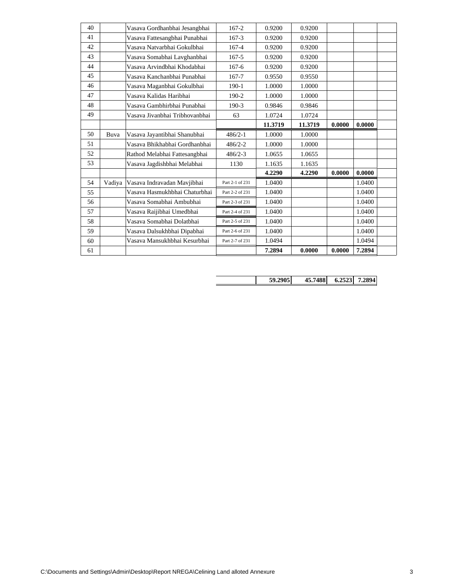| 40 |        | Vasava Gordhanbhai Jesangbhai  | $167 - 2$       | 0.9200  | 0.9200  |        |        |  |
|----|--------|--------------------------------|-----------------|---------|---------|--------|--------|--|
| 41 |        | Vasava Fattesangbhai Punabhai  | $167 - 3$       | 0.9200  | 0.9200  |        |        |  |
| 42 |        | Vasava Natvarbhai Gokulbhai    | $167 - 4$       | 0.9200  | 0.9200  |        |        |  |
| 43 |        | Vasava Somabhai Lavghanbhai    | $167 - 5$       | 0.9200  | 0.9200  |        |        |  |
| 44 |        | Vasava Arvindbhai Khodabhai    | $167-6$         | 0.9200  | 0.9200  |        |        |  |
| 45 |        | Vasava Kanchanbhai Punabhai    | 167-7           | 0.9550  | 0.9550  |        |        |  |
| 46 |        | Vasava Maganbhai Gokulbhai     | $190-1$         | 1.0000  | 1.0000  |        |        |  |
| 47 |        | Vasava Kalidas Haribhai        | 190-2           | 1.0000  | 1.0000  |        |        |  |
| 48 |        | Vasava Gambhirbhai Punabhai    | $190-3$         | 0.9846  | 0.9846  |        |        |  |
| 49 |        | Vasava Jivanbhai Tribhovanbhai | 63              | 1.0724  | 1.0724  |        |        |  |
|    |        |                                |                 | 11.3719 | 11.3719 | 0.0000 | 0.0000 |  |
| 50 | Buva   | Vasava Jayantibhai Shanubhai   | $486/2 - 1$     | 1.0000  | 1.0000  |        |        |  |
| 51 |        | Vasava Bhikhabhai Gordhanbhai  | $486/2 - 2$     | 1.0000  | 1.0000  |        |        |  |
| 52 |        | Rathod Melabhai Fattesangbhai  | $486/2 - 3$     | 1.0655  | 1.0655  |        |        |  |
| 53 |        | Vasava Jagdishbhai Melabhai    | 1130            | 1.1635  | 1.1635  |        |        |  |
|    |        |                                |                 | 4.2290  | 4.2290  | 0.0000 | 0.0000 |  |
| 54 | Vadiya | Vasava Indravadan Mavjibhai    | Part 2-1 of 231 | 1.0400  |         |        | 1.0400 |  |
| 55 |        | Vasava Hasmukhbhai Chaturbhai  | Part 2-2 of 231 | 1.0400  |         |        | 1.0400 |  |
| 56 |        | Vasava Somabhai Ambubhai       | Part 2-3 of 231 | 1.0400  |         |        | 1.0400 |  |
| 57 |        | Vasava Raijibhai Umedbhai      | Part 2-4 of 231 | 1.0400  |         |        | 1.0400 |  |
| 58 |        | Vasava Somabhai Dolatbhai      | Part 2-5 of 231 | 1.0400  |         |        | 1.0400 |  |
| 59 |        | Vasava Dalsukhbhai Dipabhai    | Part 2-6 of 231 | 1.0400  |         |        | 1.0400 |  |
| 60 |        | Vasava Mansukhbhai Kesurbhai   | Part 2-7 of 231 | 1.0494  |         |        | 1.0494 |  |
| 61 |        |                                |                 | 7.2894  |         | 0.0000 | 7.2894 |  |

**59.2905 45.7488 6.2523 7.2894**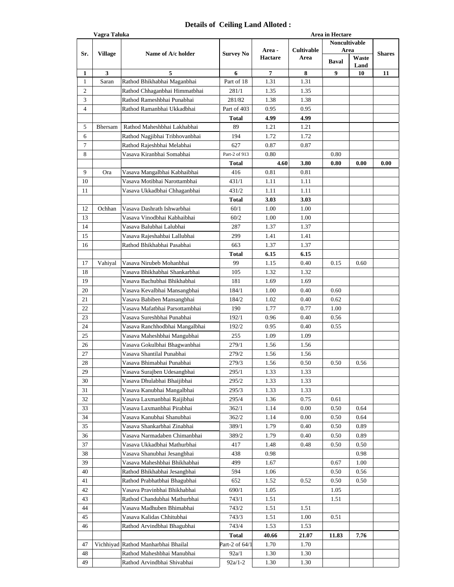## **Details of Ceiling Land Alloted :**

|                | Vagra Taluka<br>Area in Hectare |                                     |                  |                |            |               |       |               |  |
|----------------|---------------------------------|-------------------------------------|------------------|----------------|------------|---------------|-------|---------------|--|
|                |                                 |                                     |                  |                |            | Noncultivable |       |               |  |
|                | <b>Village</b>                  | Name of A/c holder                  |                  | Area -         | Cultivable | Area          |       | <b>Shares</b> |  |
| Sr.            |                                 |                                     | <b>Survey No</b> | <b>Hactare</b> | Area       |               | Waste |               |  |
|                |                                 |                                     |                  |                |            | <b>Baval</b>  | Land  |               |  |
| 1              | 3                               | 5                                   | 6                | 7              | 8          | 9             | 10    | 11            |  |
| 1              | Saran                           | Rathod Bhikhabhai Maganbhai         | Part of 18       | 1.31           | 1.31       |               |       |               |  |
| $\overline{c}$ |                                 | Rathod Chhaganbhai Himmatbhai       | 281/1            | 1.35           | 1.35       |               |       |               |  |
| 3              |                                 | Rathod Rameshbhai Punabhai          | 281/82           | 1.38           | 1.38       |               |       |               |  |
| 4              |                                 | Rathod Ramanbhai Ukkadbhai          | Part of 403      | 0.95           | 0.95       |               |       |               |  |
|                |                                 |                                     | Total            | 4.99           | 4.99       |               |       |               |  |
| 5              |                                 |                                     | 89               | 1.21           | 1.21       |               |       |               |  |
|                | <b>Bhersam</b>                  | Rathod Maheshbhai Lakhabhai         |                  |                |            |               |       |               |  |
| 6              |                                 | Rathod Nagjibhai Tribhovanbhai      | 194              | 1.72           | 1.72       |               |       |               |  |
| $\tau$         |                                 | Rathod Rajeshbhai Melabhai          | 627              | 0.87           | 0.87       |               |       |               |  |
| 8              |                                 | Vasava Kiranbhai Somabhai           | Part-2 of 913    | 0.80           |            | 0.80          |       |               |  |
|                |                                 |                                     | Total            | 4.60           | 3.80       | 0.80          | 0.00  | 0.00          |  |
| 9              | Ora                             | Vasava Mangalbhai Kabhaibhai        | 416              | 0.81           | 0.81       |               |       |               |  |
| 10             |                                 | Vasava Motibhai Narottambhai        | 431/1            | 1.11           | 1.11       |               |       |               |  |
| 11             |                                 | Vasava Ukkadbhai Chhaganbhai        | 431/2            | 1.11           | 1.11       |               |       |               |  |
|                |                                 |                                     | Total            | 3.03           | 3.03       |               |       |               |  |
| 12             |                                 |                                     |                  |                |            |               |       |               |  |
|                | Ochhan                          | Vasava Dashrath Ishwarbhai          | 60/1             | 1.00           | 1.00       |               |       |               |  |
| 13             |                                 | Vasava Vinodbhai Kabhaibhai         | 60/2             | 1.00           | 1.00       |               |       |               |  |
| 14             |                                 | Vasava Balubhai Lalubhai            | 287              | 1.37           | 1.37       |               |       |               |  |
| 15             |                                 | Vasava Rajeshahbai Lallubhai        | 299              | 1.41           | 1.41       |               |       |               |  |
| 16             |                                 | Rathod Bhikhabhai Pasabhai          | 663              | 1.37           | 1.37       |               |       |               |  |
|                |                                 |                                     | Total            | 6.15           | 6.15       |               |       |               |  |
| 17             | Vahiyal                         | Vasava Nirubeb Mohanbhai            | 99               | 1.15           | 0.40       | 0.15          | 0.60  |               |  |
| 18             |                                 | Vasava Bhikhabhai Shankarbhai       | 105              | 1.32           | 1.32       |               |       |               |  |
| 19             |                                 | Vasava Bachubhai Bhikhabhai         | 181              | 1.69           | 1.69       |               |       |               |  |
|                |                                 |                                     |                  |                |            |               |       |               |  |
| 20             |                                 | Vasava Kevalbhai Mansangbhai        | 184/1            | 1.00           | 0.40       | 0.60          |       |               |  |
| 21             |                                 | Vasava Babiben Mansangbhai          | 184/2            | 1.02           | 0.40       | 0.62          |       |               |  |
| 22             |                                 | Vasava Mafatbhai Parsottambhai      | 190              | 1.77           | 0.77       | 1.00          |       |               |  |
| 23             |                                 | Vasava Sureshbhai Punabhai          | 192/1            | 0.96           | 0.40       | 0.56          |       |               |  |
| 24             |                                 | Vasava Ranchhodbhai Mangalbhai      | 192/2            | 0.95           | 0.40       | 0.55          |       |               |  |
| 25             |                                 | Vasava Maheshbhai Mangubhai         | 255              | 1.09           | 1.09       |               |       |               |  |
| 26             |                                 | Vasava Gokulbhai Bhagwanbhai        | 279/1            | 1.56           | 1.56       |               |       |               |  |
| 27             |                                 | Vasava Shantilal Punabhai           | 279/2            | 1.56           | 1.56       |               |       |               |  |
| 28             |                                 | Vasava Bhimabhai Punabhai           | 279/3            | 1.56           | 0.50       | 0.50          | 0.56  |               |  |
| 29             |                                 | Vasava Surajben Udesangbhai         | 295/1            | 1.33           | 1.33       |               |       |               |  |
|                |                                 |                                     |                  |                |            |               |       |               |  |
| 30             |                                 | Vasava Dhulabhai Bhaijibhai         | 295/2            | 1.33           | 1.33       |               |       |               |  |
| 31             |                                 | Vasava Kanubhai Mangalbhai          | 295/3            | 1.33           | 1.33       |               |       |               |  |
| 32             |                                 | Vasava Laxmanbhai Raijibhai         | 295/4            | 1.36           | 0.75       | 0.61          |       |               |  |
| 33             |                                 | Vasava Laxmanbhai Pirabhai          | 362/1            | 1.14           | 0.00       | 0.50          | 0.64  |               |  |
| 34             |                                 | Vasava Kanubhai Shanubhai           | 362/2            | 1.14           | 0.00       | 0.50          | 0.64  |               |  |
| 35             |                                 | Vasava Shankarbhai Zinabhai         | 389/1            | 1.79           | 0.40       | 0.50          | 0.89  |               |  |
| 36             |                                 | Vasava Narmadaben Chimanbhai        | 389/2            | 1.79           | 0.40       | 0.50          | 0.89  |               |  |
| 37             |                                 | Vasava Ukkadbhai Mathurbhai         | 417              | 1.48           | 0.48       | 0.50          | 0.50  |               |  |
| 38             |                                 | Vasava Shanubhai Jesangbhai         | 438              | 0.98           |            |               | 0.98  |               |  |
| 39             |                                 | Vasava Maheshbhai Bhikhabhai        | 499              | 1.67           |            | 0.67          | 1.00  |               |  |
|                |                                 |                                     |                  |                |            |               |       |               |  |
| 40             |                                 | Rathod Bhikhabhai Jesangbhai        | 594              | 1.06           |            | 0.50          | 0.56  |               |  |
| 41             |                                 | Rathod Prabhatbhai Bhagubhai        | 652              | 1.52           | 0.52       | 0.50          | 0.50  |               |  |
| 42             |                                 | Vasava Pravinbhai Bhikhabhai        | 690/1            | 1.05           |            | 1.05          |       |               |  |
| 43             |                                 | Rathod Chandubhai Mathurbhai        | 743/1            | 1.51           |            | 1.51          |       |               |  |
| 44             |                                 | Vasava Madhuben Bhimabhai           | 743/2            | 1.51           | 1.51       |               |       |               |  |
| 45             |                                 | Vasava Kalidas Chhitubhai           | 743/3            | 1.51           | 1.00       | 0.51          |       |               |  |
| 46             |                                 | Rathod Arvindbhai Bhagubhai         | 743/4            | 1.53           | 1.53       |               |       |               |  |
|                |                                 |                                     | Total            | 40.66          | 21.07      | 11.83         | 7.76  |               |  |
| 47             |                                 | Vichhiyad Rathod Manharbhai Bhailal | Part-2 of 64/1   | 1.70           | 1.70       |               |       |               |  |
|                |                                 |                                     |                  |                |            |               |       |               |  |
| 48             |                                 | Rathod Maheshbhai Manubhai          | 92a/1            | 1.30           | 1.30       |               |       |               |  |
| 49             |                                 | Rathod Arvindbhai Shivabhai         | $92a/1-2$        | 1.30           | 1.30       |               |       |               |  |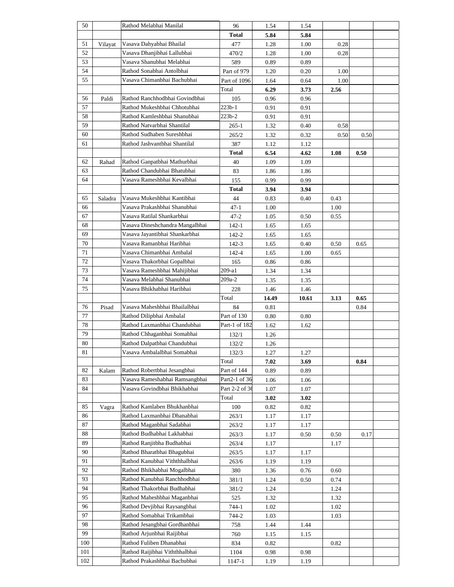| 50  |         | Rathod Melabhai Manilal         | 96             | 1.54  | 1.54  |      |      |  |
|-----|---------|---------------------------------|----------------|-------|-------|------|------|--|
|     |         |                                 | <b>Total</b>   | 5.84  | 5.84  |      |      |  |
| 51  | Vilayat | Vasava Dahyabhai Bhailal        | 477            | 1.28  | 1.00  | 0.28 |      |  |
| 52  |         | Vasava Dhanjibhai Lallubhai     | 470/2          | 1.28  | 1.00  | 0.28 |      |  |
| 53  |         | Vasava Shanubhai Melabhai       | 589            | 0.89  | 0.89  |      |      |  |
| 54  |         | Rathod Sonabhai Antolbhai       | Part of 979    | 1.20  | 0.20  | 1.00 |      |  |
| 55  |         | Vasava Chimanbhai Bachubhai     | Part of 1096   | 1.64  | 0.64  | 1.00 |      |  |
|     |         |                                 | Total          | 6.29  | 3.73  | 2.56 |      |  |
| 56  | Paldi   | Rathod Ranchhodbhai Govindbhai  | 105            | 0.96  | 0.96  |      |      |  |
| 57  |         | Rathod Mukeshbhai Chhotubhai    | 223b-1         | 0.91  | 0.91  |      |      |  |
| 58  |         | Rathod Kamleshbhai Shanubhai    | 223b-2         | 0.91  | 0.91  |      |      |  |
| 59  |         | Rathod Natvarbhai Shantilal     | 265-1          | 1.32  | 0.40  | 0.58 |      |  |
| 60  |         | Rathod Sudhaben Sureshbhai      | 265/2          | 1.32  | 0.32  | 0.50 | 0.50 |  |
| 61  |         | Rathod Jashvantbhai Shantilal   | 387            | 1.12  | 1.12  |      |      |  |
|     |         |                                 | Total          | 6.54  | 4.62  | 1.08 | 0.50 |  |
| 62  | Rahad   | Rathod Ganpatbhai Mathurbhai    | 40             | 1.09  | 1.09  |      |      |  |
| 63  |         | Rathod Chandubhai Bhatubhai     | 83             | 1.86  | 1.86  |      |      |  |
| 64  |         | Vasava Rameshbhai Kevalbhai     | 155            | 0.99  | 0.99  |      |      |  |
|     |         |                                 | <b>Total</b>   | 3.94  | 3.94  |      |      |  |
| 65  | Saladra | Vasava Mukeshbhai Kantibhai     | 44             | 0.83  | 0.40  | 0.43 |      |  |
| 66  |         | Vasava Prakashbhai Shanubhai    | 47-1           | 1.00  |       | 1.00 |      |  |
| 67  |         | Vasava Ratilal Shankarbhai      | 47-2           | 1.05  | 0.50  | 0.55 |      |  |
| 68  |         | Vasava Dineshchandra Mangalbhai | 142-1          | 1.65  | 1.65  |      |      |  |
| 69  |         | Vasava Jayantibhai Shankarbhai  | 142-2          | 1.65  | 1.65  |      |      |  |
| 70  |         | Vasava Ramanbhai Haribhai       | 142-3          | 1.65  | 0.40  | 0.50 | 0.65 |  |
| 71  |         | Vasava Chimanbhai Ambalal       | 142-4          | 1.65  | 1.00  | 0.65 |      |  |
| 72  |         | Vasava Thakorbhai Gopalbhai     | 165            | 0.86  | 0.86  |      |      |  |
| 73  |         | Vasava Rameshbhai Mahijibhai    | 209-a1         | 1.34  | 1.34  |      |      |  |
| 74  |         | Vasava Melabhai Shanubhai       | 209a-2         | 1.35  | 1.35  |      |      |  |
| 75  |         | Vasava Bhikhabhai Haribhai      | 228            | 1.46  | 1.46  |      |      |  |
|     |         |                                 |                |       |       |      |      |  |
|     |         |                                 | Total          | 14.49 | 10.61 | 3.13 | 0.65 |  |
| 76  | Pisad   | Vasava Maheshbhai Bhailalbhai   | 84             | 0.81  |       |      | 0.84 |  |
| 77  |         | Rathod Dilipbhai Ambalal        | Part of 130    | 0.80  | 0.80  |      |      |  |
| 78  |         | Rathod Laxmanbhai Chandubhai    | Part-1 of 182  | 1.62  | 1.62  |      |      |  |
| 79  |         | Rathod Chhaganbhai Somabhai     | 132/1          | 1.26  |       |      |      |  |
| 80  |         | Rathod Dalpatbhai Chandubhai    | 132/2          | 1.26  |       |      |      |  |
| 81  |         | Vasava Ambalalbhai Somabhai     | 132/3          | 1.27  | 1.27  |      |      |  |
|     |         |                                 | Total          | 7.02  | 3.69  |      | 0.84 |  |
| 82  | Kalam   | Rathod Robertbhai Jesangbhai    | Part of 144    | 0.89  | 0.89  |      |      |  |
| 83  |         | Vasava Rameshabhai Ramsangbhai  | Part2-1 of 36  | 1.06  | 1.06  |      |      |  |
| 84  |         | Vasava Govindbhai Bhikhabhai    | Part 2-2 of 36 | 1.07  | 1.07  |      |      |  |
|     |         |                                 | Total          | 3.02  | 3.02  |      |      |  |
| 85  | Vagra   | Rathod Kamlaben Bhukhanbhai     | 100            | 0.82  | 0.82  |      |      |  |
| 86  |         | Rathod Laxmanbhai Dhanabhai     | 263/1          | 1.17  | 1.17  |      |      |  |
| 87  |         | Rathod Maganbhai Sadabhai       | 263/2          | 1.17  | 1.17  |      |      |  |
| 88  |         | Rathod Budhabhai Lakhabhai      | 263/3          | 1.17  | 0.50  | 0.50 | 0.17 |  |
| 89  |         | Rathod Ranjitbha Budhabhai      | 263/4          | 1.17  |       | 1.17 |      |  |
| 90  |         | Rathod Bharatbhai Bhagubhai     | 263/5          | 1.17  | 1.17  |      |      |  |
| 91  |         | Rathod Kanubhai Viththhalbhai   | 263/6          | 1.19  | 1.19  |      |      |  |
| 92  |         | Rathod Bhikhabhai Mogalbhai     | 380            | 1.36  | 0.76  | 0.60 |      |  |
| 93  |         | Rathod Kanubhai Ranchhodbhai    | 381/1          | 1.24  | 0.50  | 0.74 |      |  |
| 94  |         | Rathod Thakorbhai Budhabhai     | 381/2          | 1.24  |       | 1.24 |      |  |
| 95  |         | Rathod Maheshbhai Maganbhai     | 525            | 1.32  |       | 1.32 |      |  |
| 96  |         | Rathod Devjibhai Raysangbhai    | 744-1          | 1.02  |       | 1.02 |      |  |
| 97  |         | Rathod Somabhai Trikambhai      | 744-2          | 1.03  |       | 1.03 |      |  |
| 98  |         | Rathod Jesangbhai Gordhanbhai   | 758            | 1.44  | 1.44  |      |      |  |
| 99  |         | Rathod Arjunbhai Raijibhai      | 760            | 1.15  | 1.15  |      |      |  |
| 100 |         | Rathod Fuliben Dhanabhai        | 834            | 0.82  |       | 0.82 |      |  |
| 101 |         | Rathod Raijibhai Viththhalbhai  | 1104           | 0.98  | 0.98  |      |      |  |